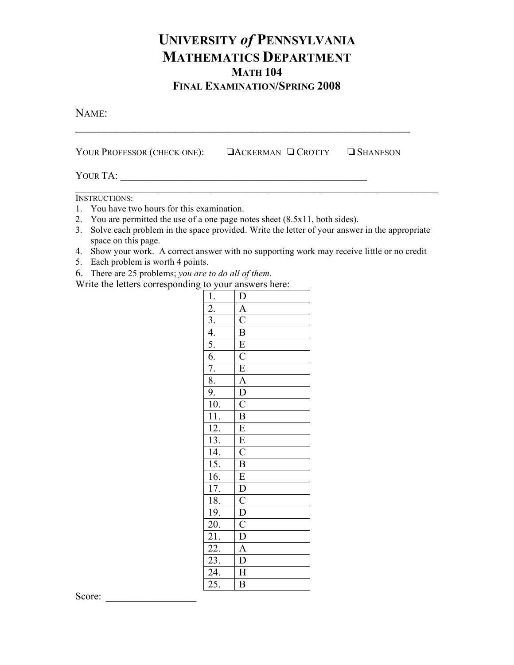## **UNIVERSITY** *of* **PENNSYLVANIA MATHEMATICS DEPARTMENT MATH 104 FINAL EXAMINATION/SPRING 2008**

NAME:

YOUR PROFESSOR (CHECK ONE):  $\Box$  ACKERMAN  $\Box$  Crotty  $\Box$  Shaneson

YOUR TA: \_\_\_\_\_\_\_\_\_\_\_\_\_\_\_\_\_\_\_\_\_\_\_\_\_\_\_\_\_\_\_\_\_\_\_\_\_\_\_\_\_\_\_\_\_\_\_\_\_

INSTRUCTIONS:

- 1. You have two hours for this examination.
- 2. You are permitted the use of a one page notes sheet (8.5x11, both sides).
- 3. Solve each problem in the space provided. Write the letter of your answer in the appropriate space on this page.

 $\mathcal{L}_\text{max}$  , and the contribution of the contribution of the contribution of the contribution of the contribution of the contribution of the contribution of the contribution of the contribution of the contribution of t

- 4. Show your work. A correct answer with no supporting work may receive little or no credit
- 5. Each problem is worth 4 points.
- 6. There are 25 problems; *you are to do all of them*.

Write the letters corresponding to your answers here:

| $\frac{1}{2}$ .<br>$\frac{2}{3}$ .<br>$\frac{4}{5}$ .<br>$\frac{6}{7}$ .<br>$\frac{8}{9}$ .<br>$\frac{9}{10}$ .<br>$\frac{11}{11}$ .<br>$\frac{12}{13}$ .<br>$\frac{13}{14}$ . |                                                                                                                                                                                                                                                                                                                        |
|--------------------------------------------------------------------------------------------------------------------------------------------------------------------------------|------------------------------------------------------------------------------------------------------------------------------------------------------------------------------------------------------------------------------------------------------------------------------------------------------------------------|
|                                                                                                                                                                                |                                                                                                                                                                                                                                                                                                                        |
|                                                                                                                                                                                |                                                                                                                                                                                                                                                                                                                        |
|                                                                                                                                                                                |                                                                                                                                                                                                                                                                                                                        |
|                                                                                                                                                                                |                                                                                                                                                                                                                                                                                                                        |
|                                                                                                                                                                                |                                                                                                                                                                                                                                                                                                                        |
|                                                                                                                                                                                |                                                                                                                                                                                                                                                                                                                        |
|                                                                                                                                                                                |                                                                                                                                                                                                                                                                                                                        |
|                                                                                                                                                                                |                                                                                                                                                                                                                                                                                                                        |
| $\frac{11}{15}$ .<br>$\frac{16}{17}$ .                                                                                                                                         |                                                                                                                                                                                                                                                                                                                        |
|                                                                                                                                                                                |                                                                                                                                                                                                                                                                                                                        |
|                                                                                                                                                                                |                                                                                                                                                                                                                                                                                                                        |
|                                                                                                                                                                                |                                                                                                                                                                                                                                                                                                                        |
|                                                                                                                                                                                |                                                                                                                                                                                                                                                                                                                        |
| $\frac{18.}{19.}$<br>$\frac{20.}{21.}$<br>$\frac{21.}{22.}$<br>$\frac{22.}{23.}$<br>$\frac{23.}{25.}$                                                                          | $\frac{\overline{D} \overline{A} \overline{C} \overline{B} \overline{E} \overline{C} \overline{E} \overline{A} \overline{D} \overline{C} \overline{B} \overline{E} \overline{E} \overline{C} \overline{B} \overline{E} \overline{D} \overline{C} \overline{D} \overline{C} \overline{D} \overline{A} \overline{D}}{D}$ |
|                                                                                                                                                                                |                                                                                                                                                                                                                                                                                                                        |
|                                                                                                                                                                                | $\overline{\overline{\mathbf{H}}}$                                                                                                                                                                                                                                                                                     |
|                                                                                                                                                                                | $\overline{\mathbf{B}}$                                                                                                                                                                                                                                                                                                |

Score: \_\_\_\_\_\_\_\_\_\_\_\_\_\_\_\_\_\_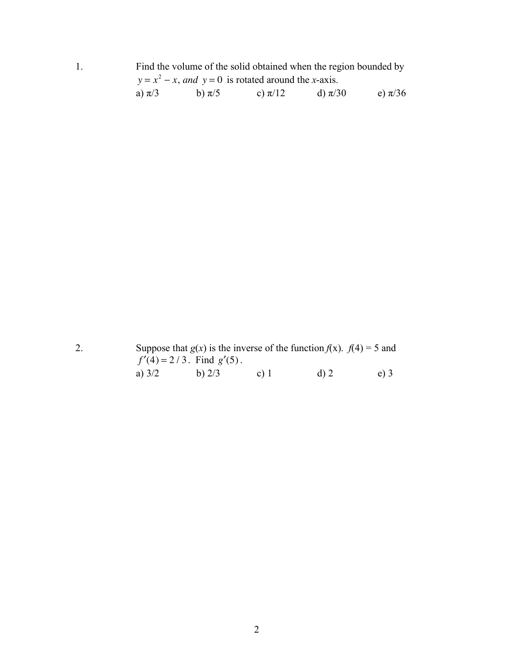|            | Find the volume of the solid obtained when the region bounded by |             |             |             |  |  |  |
|------------|------------------------------------------------------------------|-------------|-------------|-------------|--|--|--|
|            | $y = x^2 - x$ , and $y = 0$ is rotated around the x-axis.        |             |             |             |  |  |  |
| a) $\pi/3$ | b) $\pi/5$                                                       | c) $\pi/12$ | d) $\pi/30$ | e) $\pi/36$ |  |  |  |

2. Suppose that  $g(x)$  is the inverse of the function  $f(x)$ .  $f(4) = 5$  and  $f'(4) = 2/3$ . Find  $g'(5)$ . a)  $3/2$  b)  $2/3$  c) 1 d) 2 e) 3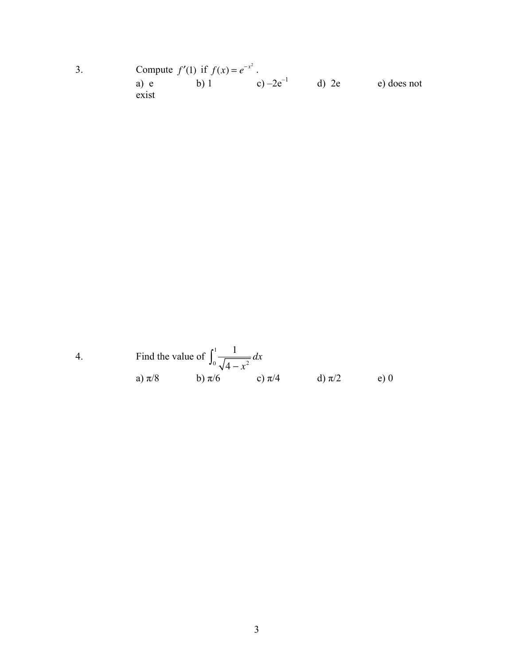3. Compute  $f'(1)$  if  $f(x) = e^{-x^2}$ . a) e b) 1 c) –2e<sup>-1</sup> d) 2e e) does not a) e<br>exist

4. Find the value of 
$$
\int_0^1 \frac{1}{\sqrt{4 - x^2}} dx
$$
  
\na)  $\pi/8$  \nb)  $\pi/6$  \nc)  $\pi/4$  \nd)  $\pi/2$  \ne) 0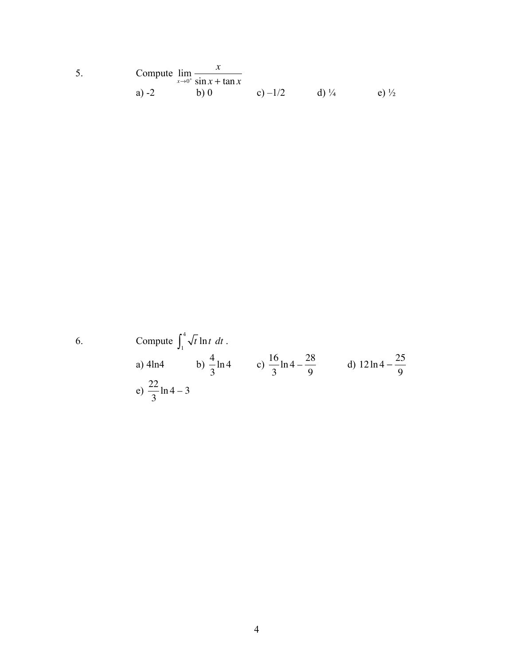5. Compute 
$$
\lim_{x \to 0^+} \frac{x}{\sin x + \tan x}
$$
  
a) -2 b) 0 c) -1/2 d) <sup>1</sup>/<sub>4</sub> e) <sup>1</sup>/<sub>2</sub>

6. Compute 
$$
\int_1^4 \sqrt{t} \ln t \ dt
$$
.  
\na) 4ln4 b)  $\frac{4}{3} \ln 4$  c)  $\frac{16}{3} \ln 4 - \frac{28}{9}$  d)  $12 \ln 4 - \frac{25}{9}$   
\ne)  $\frac{22}{3} \ln 4 - 3$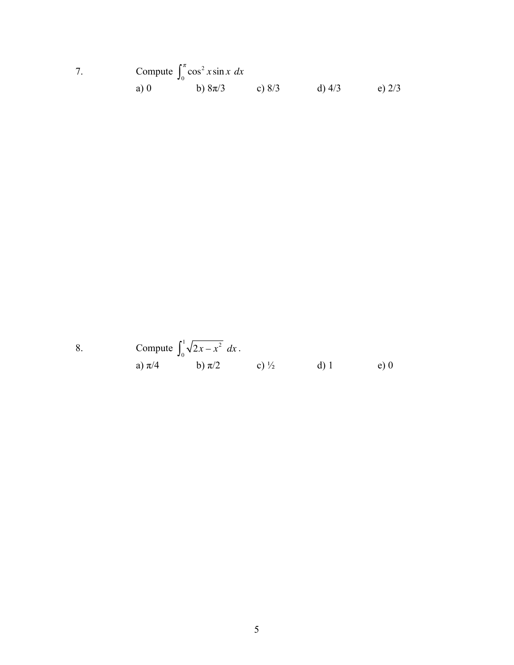7. Compute 
$$
\int_0^{\pi} \cos^2 x \sin x \, dx
$$
  
a) 0 \t\t b)  $8\pi/3$  \t\t c)  $8/3$  \t\t d)  $4/3$  \t e)  $2/3$ 

8. Compute 
$$
\int_0^1 \sqrt{2x - x^2} dx
$$
.  
a)  $\pi/4$  b)  $\pi/2$  c)  $\frac{1}{2}$  d) 1 e) 0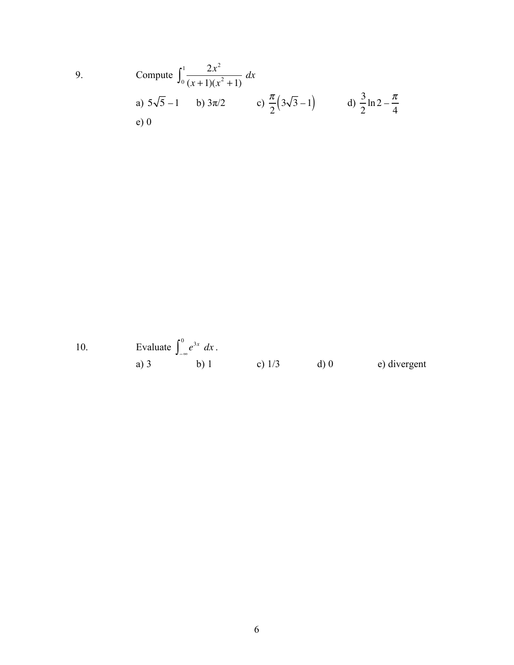Compute 
$$
\int_0^1 \frac{2x^2}{(x+1)(x^2+1)} dx
$$
  
\na)  $5\sqrt{5}-1$  b)  $3\pi/2$  c)  $\frac{\pi}{2}(3\sqrt{3}-1)$  d)  $\frac{3}{2}\ln 2 - \frac{\pi}{4}$   
\ne) 0

9.

Evaluate  $\int_{-\infty}^{0} e^{3x} dx$ .<br>
a) 3 b) 1 c) 1/3 d) 0 e) divergent  $10.$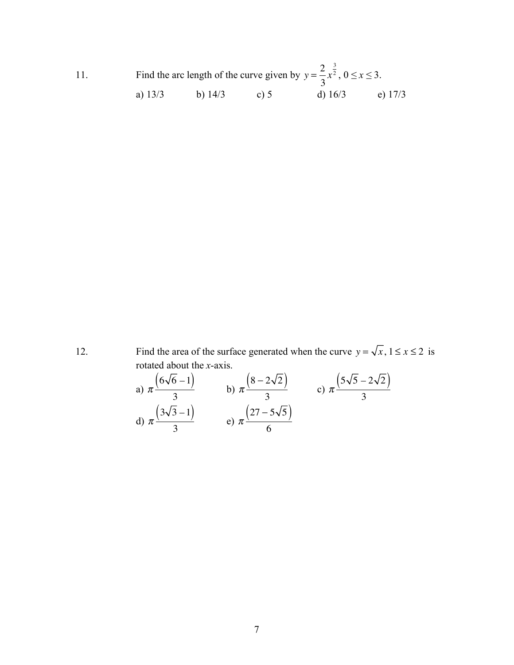11. Find the arc length of the curve given by  $y = \frac{2}{3}$ 3 *x* 3  $x^2$ ,  $0 \le x \le 3$ . a) 13/3 b) 14/3 c) 5 d) 16/3 e) 17/3

12. Find the area of the surface generated when the curve  $y = \sqrt{x}$ ,  $1 \le x \le 2$  is rotated about the *x*-axis.

a) 
$$
\pi \frac{(6\sqrt{6}-1)}{3}
$$
 b)  $\pi \frac{(8-2\sqrt{2})}{3}$  c)  $\pi \frac{(5\sqrt{5}-2\sqrt{2})}{3}$   
d)  $\pi \frac{(3\sqrt{3}-1)}{3}$  e)  $\pi \frac{(27-5\sqrt{5})}{6}$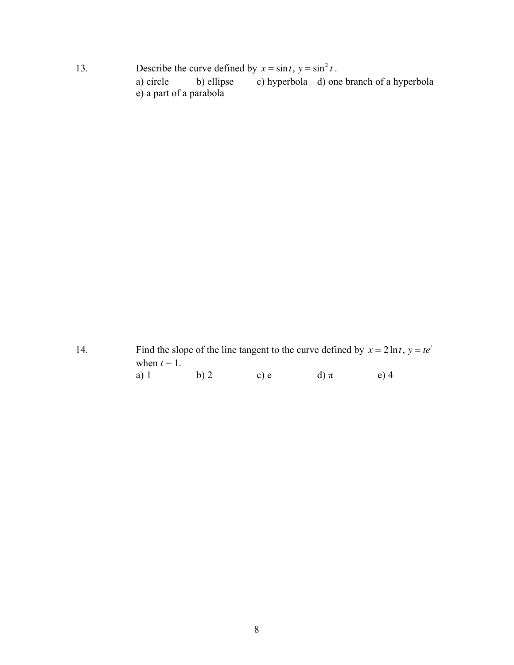13. Describe the curve defined by  $x = \sin t$ ,  $y = \sin^2 t$ . a) circle b) ellipse c) hyperbola d) one branch of a hyperbola e) a part of a parabola

14. Find the slope of the line tangent to the curve defined by  $x = 2 \ln t$ ,  $y = te^t$ when  $t = 1$ .<br>a) 1 a) 1 b) 2 c) e d)  $\pi$  e) 4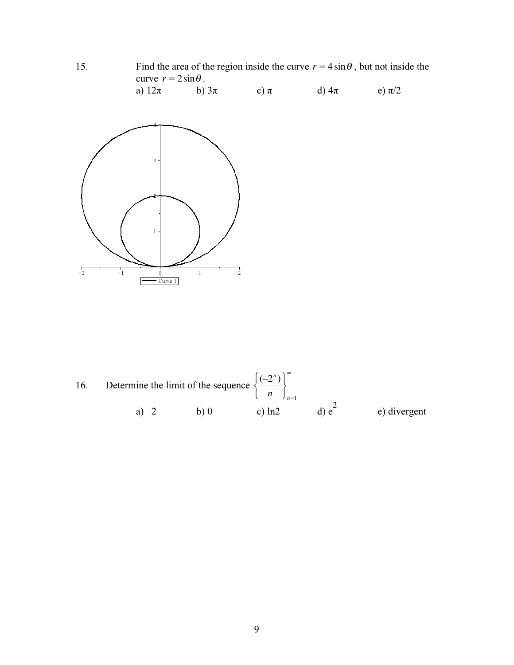$15.$ Find the area of the region inside the curve  $r = 4 \sin \theta$ , but not inside the curve  $r = 2 \sin \theta$ . a)  $12\pi$ b)  $3\pi$ c)  $\pi$ d)  $4\pi$ e)  $\pi/2$ 



Determine the limit of the sequence  $\left\{\frac{(-2^n)}{n}\right\}_{n=1}^{\infty}$ 16. d)  $e^2$ c)  $ln2$ e) divergent  $a) -2$  $b)0$ 

9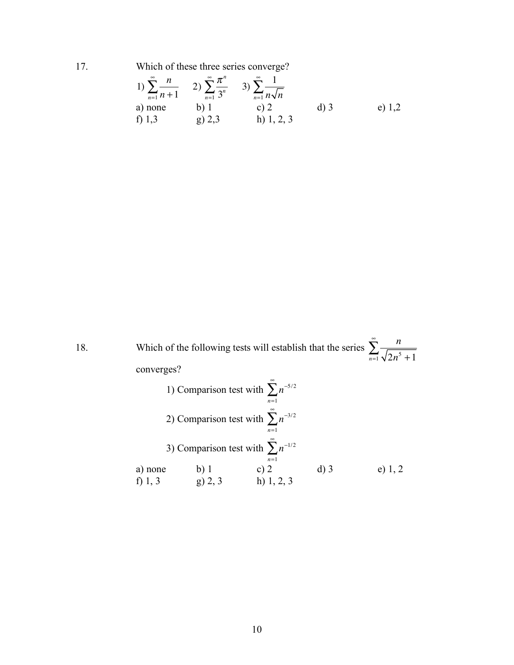17. Which of these three series converge?

1) 
$$
\sum_{n=1}^{\infty} \frac{n}{n+1}
$$
 2) 
$$
\sum_{n=1}^{\infty} \frac{\pi^n}{3^n}
$$
 3) 
$$
\sum_{n=1}^{\infty} \frac{1}{n\sqrt{n}}
$$
  
a) none b) 1 c) 2 d) 3 e) 1,2  
f) 1,3 g) 2,3 h) 1, 2, 3

18. Which of the following tests will establish that the series  $\sum_{n=1}^{\infty} \frac{n}{n}$  $\sum_{n=1}^{\infty} \sqrt{2n^5 + 1}$  $\sum^{\infty}_{ }$ converges? 1) Comparison test with  $\sum n^{-5/2}$ *n*=1  $\sum^{\infty}_{ }$ 2) Comparison test with  $\sum n^{-3/2}$ *n*=1  $\sum^{\infty}$ 3) Comparison test with  $\sum n^{-1/2}$ *n*=1  $\sum^{\infty}$ a) none b) 1 c) 2 d) 3 e) 1, 2 f) 1, 3 g) 2, 3 h) 1, 2, 3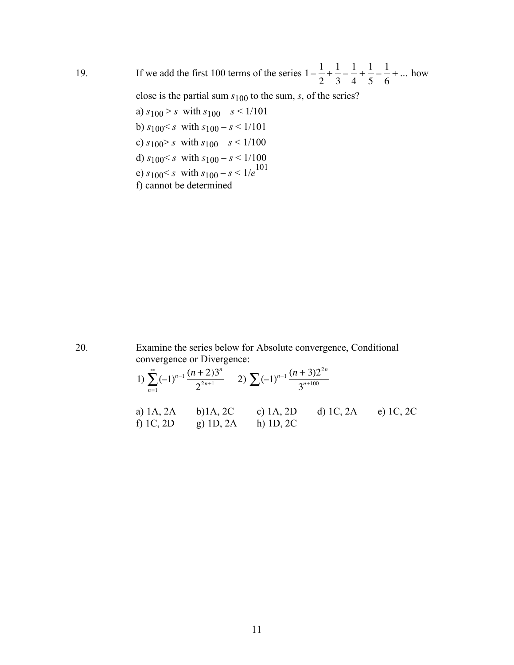19. If we add the first 100 terms of the series  $1-\frac{1}{2}$ 2  $+\frac{1}{2}$ 3  $-\frac{1}{4}$ 4  $+\frac{1}{5}-\frac{1}{6}$ + ... how

close is the partial sum *s*100 to the sum, *s*, of the series?

a)  $s_{100} > s$  with  $s_{100} - s < 1/101$ b)  $s_{100} < s$  with  $s_{100} - s < 1/101$ c)  $s_{100} > s$  with  $s_{100} - s < 1/100$ d)  $s_{100} < s$  with  $s_{100} - s < 1/100$ e)  $s_{100} < s$  with  $s_{100} - s < 1/e^{101}$ f) cannot be determined

20. Examine the series below for Absolute convergence, Conditional convergence or Divergence:

1) 
$$
\sum_{n=1}^{\infty} (-1)^{n-1} \frac{(n+2)3^n}{2^{2n+1}}
$$
 2)  $\sum (-1)^{n-1} \frac{(n+3)2^{2n}}{3^{n+100}}$   
\na) 1A, 2A b) 1A, 2C c) 1A, 2D d) 1C, 2A e) 1C, 2C  
\nf) 1C, 2D g) 1D, 2A h) 1D, 2C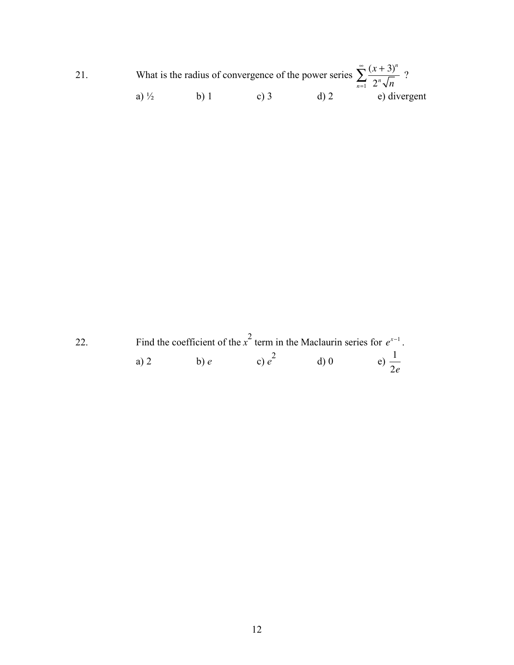| 21 |                  | What is the radius of convergence of the power series $\sum_{n=1}^{\infty} \frac{(x+3)^n}{2^n \sqrt{n}}$ ? |        |         |              |
|----|------------------|------------------------------------------------------------------------------------------------------------|--------|---------|--------------|
|    | a) $\frac{1}{2}$ | b) l                                                                                                       | c) $3$ | $d$ ) 2 | e) divergent |

Find the coefficient of the  $x^2$  term in the Maclaurin series for  $e^{x-1}$ .<br>
a) 2 b) e c)  $e^2$  d) 0 e)  $\frac{1}{2e}$ 22.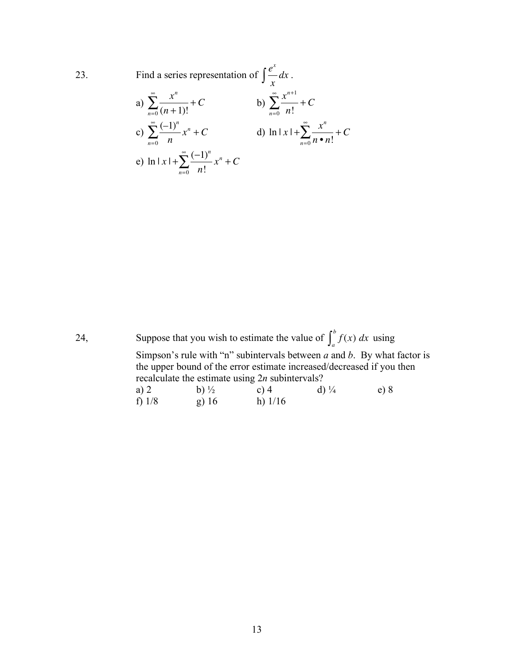23. Find a series representation of 
$$
\int \frac{e^x}{x} dx
$$
.  
\na)  $\sum_{n=0}^{\infty} \frac{x^n}{(n+1)!} + C$  b)  $\sum_{n=0}^{\infty} \frac{x^{n+1}}{n!} + C$   
\nc)  $\sum_{n=0}^{\infty} \frac{(-1)^n}{n} x^n + C$  d)  $\ln |x| + \sum_{n=0}^{\infty} \frac{x^n}{n \cdot n!} + C$   
\ne)  $\ln |x| + \sum_{n=0}^{\infty} \frac{(-1)^n}{n!} x^n + C$ 

24, Suppose that you wish to estimate the value of  $\int_a^b f(x) dx$  using Simpson's rule with "n" subintervals between *a* and *b*. By what factor is the upper bound of the error estimate increased/decreased if you then recalculate the estimate using 2*n* subintervals? a) 2 b)  $\frac{1}{2}$  c) 4 d)  $\frac{1}{4}$  e) 8 f) 1/8 g) 16 h) 1/16